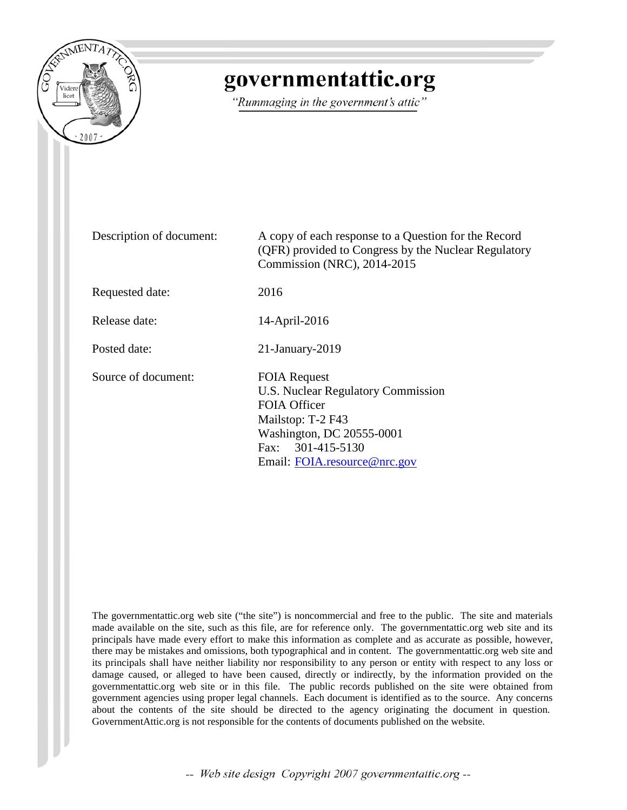

# governmentattic.org

"Rummaging in the government's attic"

Description of document: A copy of each response to a Question for the Record (QFR) provided to Congress by the Nuclear Regulatory Commission (NRC), 2014-2015 Requested date: 2016 Release date: 14-April-2016 Posted date: 21-January-2019 Source of document: FOIA Request U.S. Nuclear Regulatory Commission FOIA Officer Mailstop: T-2 F43 Washington, DC 20555-0001 Fax: 301-415-5130 Email: [FOIA.resource@nrc.gov](mailto:FOIA.resource@nrc.gov?subject=FOIA%20Request)

The governmentattic.org web site ("the site") is noncommercial and free to the public. The site and materials made available on the site, such as this file, are for reference only. The governmentattic.org web site and its principals have made every effort to make this information as complete and as accurate as possible, however, there may be mistakes and omissions, both typographical and in content. The governmentattic.org web site and its principals shall have neither liability nor responsibility to any person or entity with respect to any loss or damage caused, or alleged to have been caused, directly or indirectly, by the information provided on the governmentattic.org web site or in this file. The public records published on the site were obtained from government agencies using proper legal channels. Each document is identified as to the source. Any concerns about the contents of the site should be directed to the agency originating the document in question. GovernmentAttic.org is not responsible for the contents of documents published on the website.

-- Web site design Copyright 2007 governmentattic.org --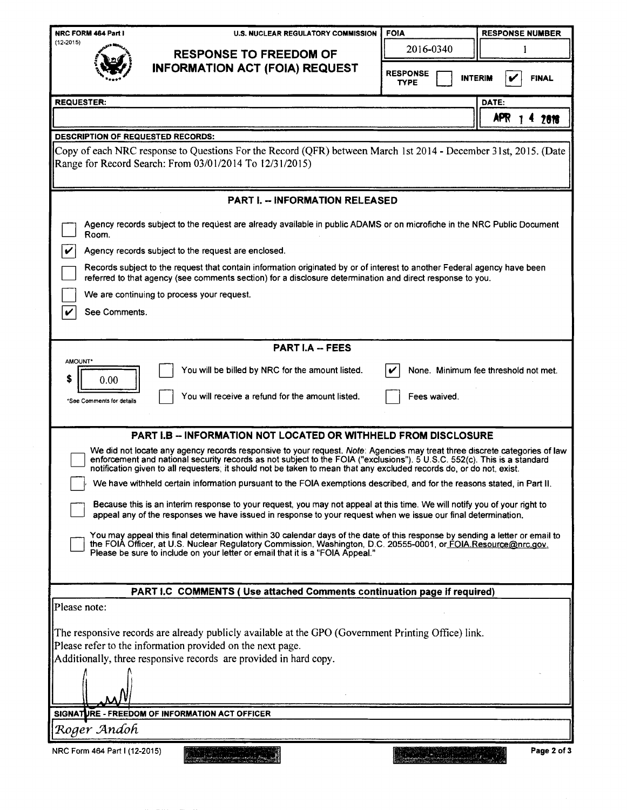| <b>INFORMATION ACT (FOIA) REQUEST</b><br><b>RESPONSE</b><br><b>INTERIM</b><br><b>TYPE</b><br><b>REQUESTER:</b><br>DATE:<br>APR <sub>1</sub><br><b>DESCRIPTION OF REQUESTED RECORDS:</b><br>Copy of each NRC response to Questions For the Record (QFR) between March 1st 2014 - December 31st, 2015. (Date  <br>Range for Record Search: From 03/01/2014 To 12/31/2015)<br><b>PART I. - INFORMATION RELEASED</b><br>Agency records subject to the request are already available in public ADAMS or on microfiche in the NRC Public Document<br>Room.<br>V<br>Agency records subject to the request are enclosed.<br>Records subject to the request that contain information originated by or of interest to another Federal agency have been<br>referred to that agency (see comments section) for a disclosure determination and direct response to you.<br>We are continuing to process your request.<br>See Comments.<br>V<br><b>PART I.A -- FEES</b><br>AMOUNT*<br>You will be billed by NRC for the amount listed.<br>None. Minimum fee threshold not met.<br>\$<br>0.00<br>You will receive a refund for the amount listed.<br>Fees waived.<br>*See Comments for details<br><b>PART I.B - INFORMATION NOT LOCATED OR WITHHELD FROM DISCLOSURE</b><br>We did not locate any agency records responsive to your request. Note: Agencies may treat three discrete categories of law<br>enforcement and national security records as not subject to the FOIA ("exclusions"). 5 U.S.C. 552(c). This is a standard<br>notification given to all requesters, it should not be taken to mean that any excluded records do, or do not, exist.<br>We have withheld certain information pursuant to the FOIA exemptions described, and for the reasons stated, in Part II.<br>Because this is an interim response to your request, you may not appeal at this time. We will notify you of your right to<br>appeal any of the responses we have issued in response to your request when we issue our final determination.<br>You may appeal this final determination within 30 calendar days of the date of this response by sending a letter or email to<br>the FOIA Officer, at U.S. Nuclear Regulatory Commission, Washington, D.C. 20555-0001, or FOIA Resource@nrc.gov.<br>Please be sure to include on your letter or email that it is a "FOIA Appeal."<br>PART I.C COMMENTS ( Use attached Comments continuation page if required)<br>Please note:<br>The responsive records are already publicly available at the GPO (Government Printing Office) link.<br>Please refer to the information provided on the next page.<br>Additionally, three responsive records are provided in hard copy.<br>SIGNATURE - FREEDOM OF INFORMATION ACT OFFICER | $(12 - 2015)$ | <b>RESPONSE TO FREEDOM OF</b> | 2016-0340 |              |
|------------------------------------------------------------------------------------------------------------------------------------------------------------------------------------------------------------------------------------------------------------------------------------------------------------------------------------------------------------------------------------------------------------------------------------------------------------------------------------------------------------------------------------------------------------------------------------------------------------------------------------------------------------------------------------------------------------------------------------------------------------------------------------------------------------------------------------------------------------------------------------------------------------------------------------------------------------------------------------------------------------------------------------------------------------------------------------------------------------------------------------------------------------------------------------------------------------------------------------------------------------------------------------------------------------------------------------------------------------------------------------------------------------------------------------------------------------------------------------------------------------------------------------------------------------------------------------------------------------------------------------------------------------------------------------------------------------------------------------------------------------------------------------------------------------------------------------------------------------------------------------------------------------------------------------------------------------------------------------------------------------------------------------------------------------------------------------------------------------------------------------------------------------------------------------------------------------------------------------------------------------------------------------------------------------------------------------------------------------------------------------------------------------------------------------------------------------------------------------------------------------------------------------------------------------------------------------------------------------------------------------------------------------------------------------------------------------------------------------------------|---------------|-------------------------------|-----------|--------------|
|                                                                                                                                                                                                                                                                                                                                                                                                                                                                                                                                                                                                                                                                                                                                                                                                                                                                                                                                                                                                                                                                                                                                                                                                                                                                                                                                                                                                                                                                                                                                                                                                                                                                                                                                                                                                                                                                                                                                                                                                                                                                                                                                                                                                                                                                                                                                                                                                                                                                                                                                                                                                                                                                                                                                                |               |                               |           | <b>FINAL</b> |
|                                                                                                                                                                                                                                                                                                                                                                                                                                                                                                                                                                                                                                                                                                                                                                                                                                                                                                                                                                                                                                                                                                                                                                                                                                                                                                                                                                                                                                                                                                                                                                                                                                                                                                                                                                                                                                                                                                                                                                                                                                                                                                                                                                                                                                                                                                                                                                                                                                                                                                                                                                                                                                                                                                                                                |               |                               |           |              |
|                                                                                                                                                                                                                                                                                                                                                                                                                                                                                                                                                                                                                                                                                                                                                                                                                                                                                                                                                                                                                                                                                                                                                                                                                                                                                                                                                                                                                                                                                                                                                                                                                                                                                                                                                                                                                                                                                                                                                                                                                                                                                                                                                                                                                                                                                                                                                                                                                                                                                                                                                                                                                                                                                                                                                |               |                               |           | 2818         |
|                                                                                                                                                                                                                                                                                                                                                                                                                                                                                                                                                                                                                                                                                                                                                                                                                                                                                                                                                                                                                                                                                                                                                                                                                                                                                                                                                                                                                                                                                                                                                                                                                                                                                                                                                                                                                                                                                                                                                                                                                                                                                                                                                                                                                                                                                                                                                                                                                                                                                                                                                                                                                                                                                                                                                |               |                               |           |              |
|                                                                                                                                                                                                                                                                                                                                                                                                                                                                                                                                                                                                                                                                                                                                                                                                                                                                                                                                                                                                                                                                                                                                                                                                                                                                                                                                                                                                                                                                                                                                                                                                                                                                                                                                                                                                                                                                                                                                                                                                                                                                                                                                                                                                                                                                                                                                                                                                                                                                                                                                                                                                                                                                                                                                                |               |                               |           |              |
|                                                                                                                                                                                                                                                                                                                                                                                                                                                                                                                                                                                                                                                                                                                                                                                                                                                                                                                                                                                                                                                                                                                                                                                                                                                                                                                                                                                                                                                                                                                                                                                                                                                                                                                                                                                                                                                                                                                                                                                                                                                                                                                                                                                                                                                                                                                                                                                                                                                                                                                                                                                                                                                                                                                                                |               |                               |           |              |
|                                                                                                                                                                                                                                                                                                                                                                                                                                                                                                                                                                                                                                                                                                                                                                                                                                                                                                                                                                                                                                                                                                                                                                                                                                                                                                                                                                                                                                                                                                                                                                                                                                                                                                                                                                                                                                                                                                                                                                                                                                                                                                                                                                                                                                                                                                                                                                                                                                                                                                                                                                                                                                                                                                                                                |               |                               |           |              |
|                                                                                                                                                                                                                                                                                                                                                                                                                                                                                                                                                                                                                                                                                                                                                                                                                                                                                                                                                                                                                                                                                                                                                                                                                                                                                                                                                                                                                                                                                                                                                                                                                                                                                                                                                                                                                                                                                                                                                                                                                                                                                                                                                                                                                                                                                                                                                                                                                                                                                                                                                                                                                                                                                                                                                |               |                               |           |              |
|                                                                                                                                                                                                                                                                                                                                                                                                                                                                                                                                                                                                                                                                                                                                                                                                                                                                                                                                                                                                                                                                                                                                                                                                                                                                                                                                                                                                                                                                                                                                                                                                                                                                                                                                                                                                                                                                                                                                                                                                                                                                                                                                                                                                                                                                                                                                                                                                                                                                                                                                                                                                                                                                                                                                                |               |                               |           |              |
|                                                                                                                                                                                                                                                                                                                                                                                                                                                                                                                                                                                                                                                                                                                                                                                                                                                                                                                                                                                                                                                                                                                                                                                                                                                                                                                                                                                                                                                                                                                                                                                                                                                                                                                                                                                                                                                                                                                                                                                                                                                                                                                                                                                                                                                                                                                                                                                                                                                                                                                                                                                                                                                                                                                                                |               |                               |           |              |
|                                                                                                                                                                                                                                                                                                                                                                                                                                                                                                                                                                                                                                                                                                                                                                                                                                                                                                                                                                                                                                                                                                                                                                                                                                                                                                                                                                                                                                                                                                                                                                                                                                                                                                                                                                                                                                                                                                                                                                                                                                                                                                                                                                                                                                                                                                                                                                                                                                                                                                                                                                                                                                                                                                                                                |               |                               |           |              |
|                                                                                                                                                                                                                                                                                                                                                                                                                                                                                                                                                                                                                                                                                                                                                                                                                                                                                                                                                                                                                                                                                                                                                                                                                                                                                                                                                                                                                                                                                                                                                                                                                                                                                                                                                                                                                                                                                                                                                                                                                                                                                                                                                                                                                                                                                                                                                                                                                                                                                                                                                                                                                                                                                                                                                |               |                               |           |              |
|                                                                                                                                                                                                                                                                                                                                                                                                                                                                                                                                                                                                                                                                                                                                                                                                                                                                                                                                                                                                                                                                                                                                                                                                                                                                                                                                                                                                                                                                                                                                                                                                                                                                                                                                                                                                                                                                                                                                                                                                                                                                                                                                                                                                                                                                                                                                                                                                                                                                                                                                                                                                                                                                                                                                                |               |                               |           |              |
|                                                                                                                                                                                                                                                                                                                                                                                                                                                                                                                                                                                                                                                                                                                                                                                                                                                                                                                                                                                                                                                                                                                                                                                                                                                                                                                                                                                                                                                                                                                                                                                                                                                                                                                                                                                                                                                                                                                                                                                                                                                                                                                                                                                                                                                                                                                                                                                                                                                                                                                                                                                                                                                                                                                                                |               |                               |           |              |
|                                                                                                                                                                                                                                                                                                                                                                                                                                                                                                                                                                                                                                                                                                                                                                                                                                                                                                                                                                                                                                                                                                                                                                                                                                                                                                                                                                                                                                                                                                                                                                                                                                                                                                                                                                                                                                                                                                                                                                                                                                                                                                                                                                                                                                                                                                                                                                                                                                                                                                                                                                                                                                                                                                                                                |               |                               |           |              |
|                                                                                                                                                                                                                                                                                                                                                                                                                                                                                                                                                                                                                                                                                                                                                                                                                                                                                                                                                                                                                                                                                                                                                                                                                                                                                                                                                                                                                                                                                                                                                                                                                                                                                                                                                                                                                                                                                                                                                                                                                                                                                                                                                                                                                                                                                                                                                                                                                                                                                                                                                                                                                                                                                                                                                |               |                               |           |              |
|                                                                                                                                                                                                                                                                                                                                                                                                                                                                                                                                                                                                                                                                                                                                                                                                                                                                                                                                                                                                                                                                                                                                                                                                                                                                                                                                                                                                                                                                                                                                                                                                                                                                                                                                                                                                                                                                                                                                                                                                                                                                                                                                                                                                                                                                                                                                                                                                                                                                                                                                                                                                                                                                                                                                                |               |                               |           |              |
|                                                                                                                                                                                                                                                                                                                                                                                                                                                                                                                                                                                                                                                                                                                                                                                                                                                                                                                                                                                                                                                                                                                                                                                                                                                                                                                                                                                                                                                                                                                                                                                                                                                                                                                                                                                                                                                                                                                                                                                                                                                                                                                                                                                                                                                                                                                                                                                                                                                                                                                                                                                                                                                                                                                                                |               |                               |           |              |
|                                                                                                                                                                                                                                                                                                                                                                                                                                                                                                                                                                                                                                                                                                                                                                                                                                                                                                                                                                                                                                                                                                                                                                                                                                                                                                                                                                                                                                                                                                                                                                                                                                                                                                                                                                                                                                                                                                                                                                                                                                                                                                                                                                                                                                                                                                                                                                                                                                                                                                                                                                                                                                                                                                                                                |               |                               |           |              |
|                                                                                                                                                                                                                                                                                                                                                                                                                                                                                                                                                                                                                                                                                                                                                                                                                                                                                                                                                                                                                                                                                                                                                                                                                                                                                                                                                                                                                                                                                                                                                                                                                                                                                                                                                                                                                                                                                                                                                                                                                                                                                                                                                                                                                                                                                                                                                                                                                                                                                                                                                                                                                                                                                                                                                |               |                               |           |              |
|                                                                                                                                                                                                                                                                                                                                                                                                                                                                                                                                                                                                                                                                                                                                                                                                                                                                                                                                                                                                                                                                                                                                                                                                                                                                                                                                                                                                                                                                                                                                                                                                                                                                                                                                                                                                                                                                                                                                                                                                                                                                                                                                                                                                                                                                                                                                                                                                                                                                                                                                                                                                                                                                                                                                                |               |                               |           |              |
|                                                                                                                                                                                                                                                                                                                                                                                                                                                                                                                                                                                                                                                                                                                                                                                                                                                                                                                                                                                                                                                                                                                                                                                                                                                                                                                                                                                                                                                                                                                                                                                                                                                                                                                                                                                                                                                                                                                                                                                                                                                                                                                                                                                                                                                                                                                                                                                                                                                                                                                                                                                                                                                                                                                                                |               |                               |           |              |
|                                                                                                                                                                                                                                                                                                                                                                                                                                                                                                                                                                                                                                                                                                                                                                                                                                                                                                                                                                                                                                                                                                                                                                                                                                                                                                                                                                                                                                                                                                                                                                                                                                                                                                                                                                                                                                                                                                                                                                                                                                                                                                                                                                                                                                                                                                                                                                                                                                                                                                                                                                                                                                                                                                                                                |               |                               |           |              |
|                                                                                                                                                                                                                                                                                                                                                                                                                                                                                                                                                                                                                                                                                                                                                                                                                                                                                                                                                                                                                                                                                                                                                                                                                                                                                                                                                                                                                                                                                                                                                                                                                                                                                                                                                                                                                                                                                                                                                                                                                                                                                                                                                                                                                                                                                                                                                                                                                                                                                                                                                                                                                                                                                                                                                |               |                               |           |              |
|                                                                                                                                                                                                                                                                                                                                                                                                                                                                                                                                                                                                                                                                                                                                                                                                                                                                                                                                                                                                                                                                                                                                                                                                                                                                                                                                                                                                                                                                                                                                                                                                                                                                                                                                                                                                                                                                                                                                                                                                                                                                                                                                                                                                                                                                                                                                                                                                                                                                                                                                                                                                                                                                                                                                                |               |                               |           |              |
|                                                                                                                                                                                                                                                                                                                                                                                                                                                                                                                                                                                                                                                                                                                                                                                                                                                                                                                                                                                                                                                                                                                                                                                                                                                                                                                                                                                                                                                                                                                                                                                                                                                                                                                                                                                                                                                                                                                                                                                                                                                                                                                                                                                                                                                                                                                                                                                                                                                                                                                                                                                                                                                                                                                                                |               |                               |           |              |
|                                                                                                                                                                                                                                                                                                                                                                                                                                                                                                                                                                                                                                                                                                                                                                                                                                                                                                                                                                                                                                                                                                                                                                                                                                                                                                                                                                                                                                                                                                                                                                                                                                                                                                                                                                                                                                                                                                                                                                                                                                                                                                                                                                                                                                                                                                                                                                                                                                                                                                                                                                                                                                                                                                                                                |               |                               |           |              |
| Roger Andoh                                                                                                                                                                                                                                                                                                                                                                                                                                                                                                                                                                                                                                                                                                                                                                                                                                                                                                                                                                                                                                                                                                                                                                                                                                                                                                                                                                                                                                                                                                                                                                                                                                                                                                                                                                                                                                                                                                                                                                                                                                                                                                                                                                                                                                                                                                                                                                                                                                                                                                                                                                                                                                                                                                                                    |               |                               |           |              |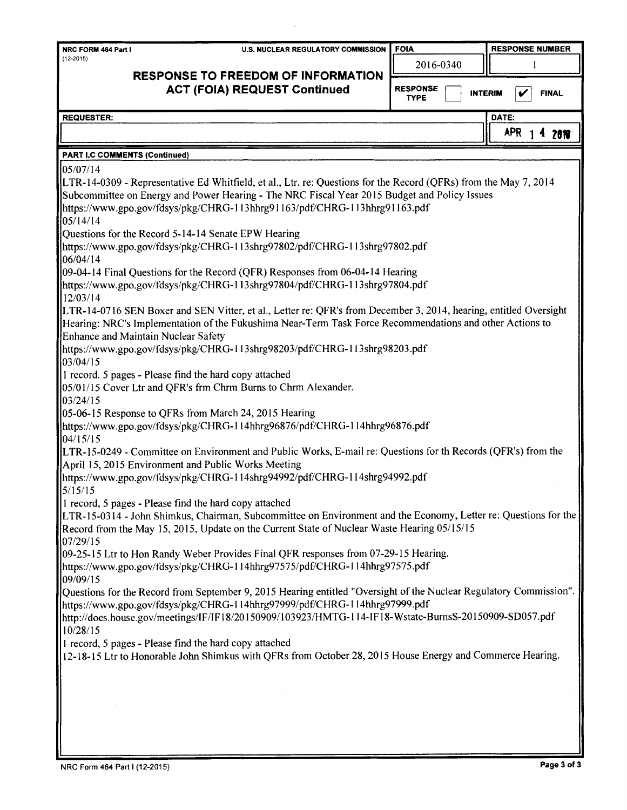| <b>NRC FORM 464 Part I</b> | U.S. NUCLEAR REGULATORY COMMISSION【 FOIA |           | <b>RESPONSE NUMBER</b> |
|----------------------------|------------------------------------------|-----------|------------------------|
| $(12 - 2015)$              |                                          | 2016-0340 |                        |

# **RESPONSE TO FREEDOM OF INFORMATION ACT (FOIA) REQUEST Continued**

**RESPONSE TYPE** INTERIM **V** FINAL

**DATE:** 

APR 1 4 2018

I **REQUESTER:** 

# **PART I.C COMMENTS (Continued)**

 $05/07/14$ L TR-14-0309 - Representative Ed Whitfield, et al., Ltr. re: Questions for the Record (QFRs) from the May 7, 2014 Subcommittee on Energy and Power Hearing - The NRC Fiscal Year 2015 Budget and Policy Issues https://www.gpo.gov/fdsys/pkg/CHRG-113hhrg91163/pdf/CHRG-113hhrg91 I 63.pdf 05/14/14 Questions for the Record 5-14-14 Senate EPW Hearing https://www.gpo.gov/fdsys/pkg/CHRG- I I 3shrg97802/pdf/CHRG-113shrg97802.pdf 06/04/14 09-04-14 Final Questions for the Record (QFR) Responses from 06-04-14 Hearing https://www.gpo.gov/fdsys/pkg/CHRG-l I 3shrg97804/pdf/CHRG-l l 3shrg97804.pdf 12/03/14 L TR-14-0716 SEN Boxer and SEN Vitter, et al., Letter re: QFR's from December 3, 2014, hearing, entitled Oversight Hearing: NRC's Implementation of the Fukushima Near-Term Task Force Recommendations and other Actions to Enhance and Maintain Nuclear Safety https://www.gpo.gov/fdsys/pkg/CHRG-113shrg98203/pdf/CHRG- 1 I 3shrg98203.pdf 03/04/15 1 record. 5 pages - Please find the hard copy attached 05/01/15 Cover Ltr and QFR's frm Chrm Burns to Chrm Alexander. 03/24/15 05-06-15 Response to QFRs from March 24, 2015 Hearing https://www.gpo.gov/fdsys/pkg/CHRG-l 14hhrg96876/pdf/CHRG-I 14hhrg96876.pdf 04/15/15 L TR-15-0249 - Committee on Environment and Public Works, E-mail re: Questions for th Records (QFR's) from the April 15, 2015 Environment and Public Works Meeting https://www.gpo.gov/fdsys/pkg/CHRG- l l 4shrg94992/pdf/CHRG-114shrg94992.pdf 5/15/15 I record, 5 pages - Please find the hard copy attached LTR-15-0314 - John Shimkus, Chairman, Subcommittee on Environment and the Economy, Letter re: Questions for the Record from the May 15, 2015, Update on the Current State of Nuclear Waste Hearing 05/15/15 07/29/15 09-25-15 Ltr to Hon Randy Weber Provides Final QFR responses from 07-29-15 Hearing. https://www.gpo.gov/fdsys/pkg/CHRG- I I 4hhrg97575/pdf/CHRG-l l 4hhrg97575.pdf 09/09/15 Questions for the Record from September 9, 2015 Hearing entitled "Oversight of the Nuclear Regulatory Commission". https://www.gpo.gov/fdsys/pkg/CHRG-114hhrg97999/pdf/CHRG- l l4hhrg97999.pdf http://docs.house.gov/meetings/lF/IF 18/20150909/103923/HMTG- l 14-IF l 8-Wstate-BurnsS-20150909-SD057.pdf 10/28/15 I record, 5 pages - Please find the hard copy attached 12-18-15 Ltr to Honorable John Shimkus with QFRs from October 28, 2015 House Energy and Commerce Hearing.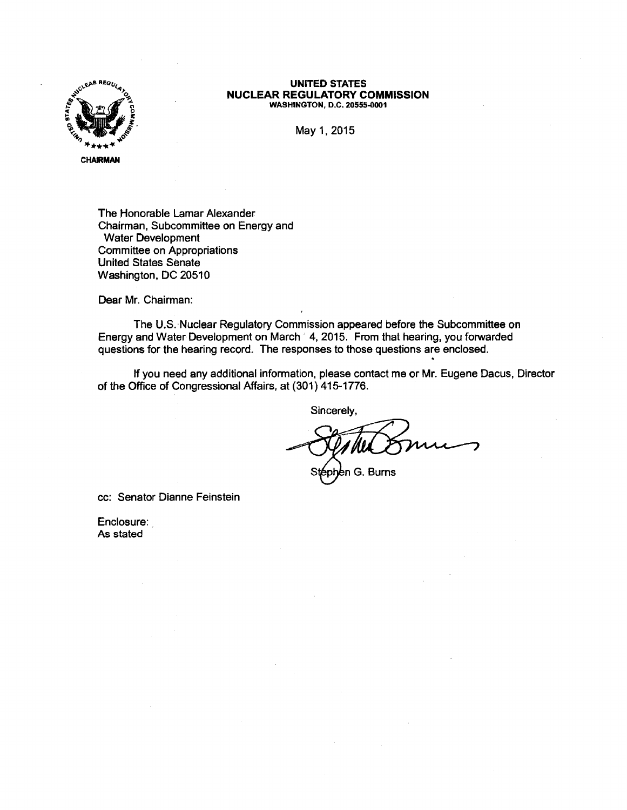

#### **UNITED STATES NUCLEAR REGULATORY COMMISSION WASHINGTON, D.C. 20555-0001**

May 1, 2015

The Honorable Lamar Alexander Chairman, Subcommittee on Energy and Water Development Committee on Appropriations United States Senate Washington, DC 20510

Dear Mr. Chairman:

The U.S. Nuclear Regulatory Commission appeared before the Subcommittee on Energy and Water Development on March 4, 2015. From that hearing, you forwarded questions for the hearing record. The responses to those questions are enclosed.

If you need any additional information, please contact me or Mr. Eugene Dacus, Director of the Office of Congressional Affairs, at (301) 415-1776.

Sincerely,

phen G. Burns

cc: Senator Dianne Feinstein

Enclosure: As stated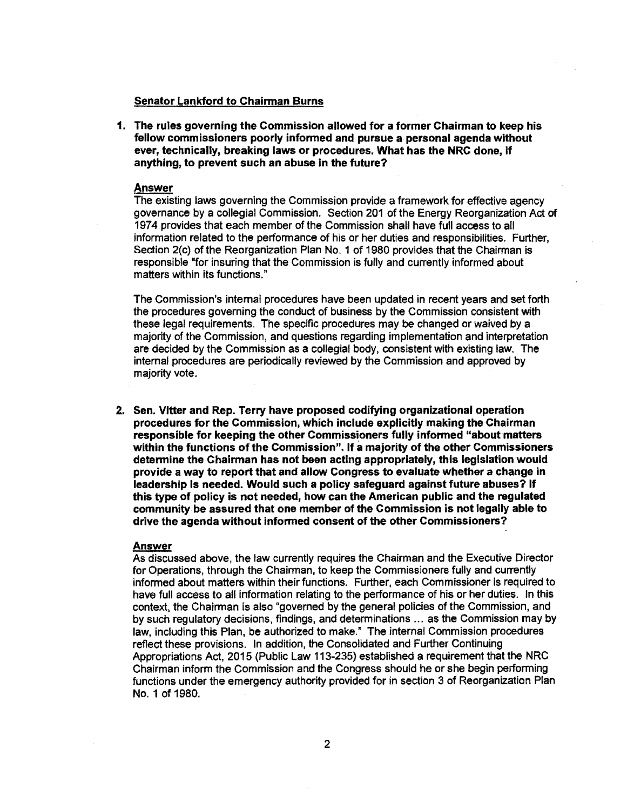#### **Senator Lankford to Chairman Burns**

**1. The rules governing the Commission allowed for a former Chairman to keep his fellow commissioners poorly informed and pursue a personal agenda without ever, technically, breaking laws or procedures. What has the NRC done, If anything, to prevent such an abuse in the future?** 

#### **Answer**

The existing laws governing the Commission provide a framework for effective agency governance by a collegial Commission. Section 201 of the Energy Reorganization Act of 1974 provides that each member of the Commission shall have full access to all information related to the performance of his or her duties and responsibilities. Further, Section 2(c) of the Reorganization Plan No. 1 of 1980 provides that the Chairman is responsible "for insuring that the Commission is fully and currently informed about matters within its functions."

The Commission's internal procedures have been updated in recent years and set forth the procedures governing the conduct of business by the Commission consistent with these legal requirements. The specific procedures may be changed or waived by a majority of the Commission, and questions regarding implementation and interpretation are decided by the Commission as a collegial body, consistent with existing law. The internal procedures are periodically reviewed by the Commission and approved by majority vote.

**2. Sen. Vltter and Rep. Terry have proposed codifying organizational operation procedures for the Commission, which include explicitly making the Chairman responsible for keeping the other Commissioners fully informed "about matters within the functions of the Commission". If a majority of the other Commissioners determine the Chairman has not been acting appropriately, this legislation would provide a way to report that and allow Congress to evaluate whether a change in leadership Is needed. Would such a policy safeguard against future abuses? If this type of policy is not needed, how can the American public and the regulated community be assured that one member of the Commission is not legally able to drive the agenda without informed consent of the other Commissioners?** 

# **Answer**

As discussed above, the law currently requires the Chairman and the Executive Director for Operations, through the Chairman, to keep the Commissioners fully and currently informed about matters within their functions. Further, each Commissioner is required to have full access to all information relating to the performance of his or her duties. In this context, the Chairman is also "governed by the general policies of the Commission, and by such regulatory decisions, findings, and determinations ... as the Commission may by law, including this Plan, be authorized to make." The internal Commission procedures reflect these provisions. In addition, the Consolidated and Further Continuing Appropriations Act, 2015 (Public Law 113-235) established a requirement that the NRC Chairman inform the Commission and the Congress should he or she begin performing functions under the emergency authority provided for in section 3 of Reorganization Plan No. 1 of 1980.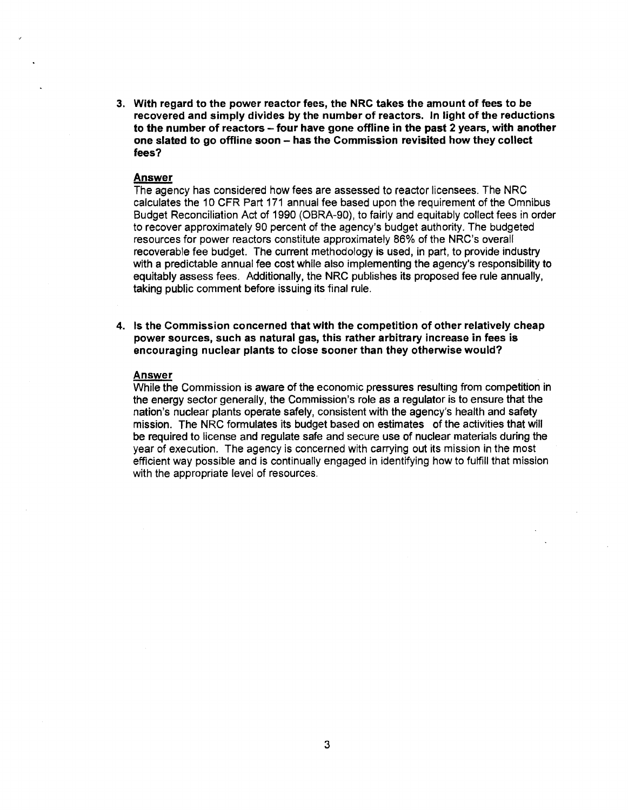3. With regard to the power reactor fees, the NRC takes the amount of fees to be recovered and simply divides by the number of reactors. In light of the reductions to the number of reactors – four have gone offline in the past 2 years, with another one slated to go offline soon - has the Commission revisited how they collect fees?

#### **Answer**

The agency has considered how fees are assessed to reactor licensees. The NRC calculates the 10 CFR Part 171 annual fee based upon the requirement of the Omnibus Budget Reconciliation Act of 1990 (OBRA-90), to fairly and equitably collect fees in order to recover approximately 90 percent of the agency's budget authority. The budgeted resources for power reactors constitute approximately 86% of the NRC's overall recoverable fee budget. The current methodology is used, in part, to provide industry with a predictable annual fee cost while also implementing the agency's responsibility to equitably assess fees. Additionally, the NRC publishes its proposed fee rule annually, taking public comment before issuing its final rule.

**4. Is the Commission concerned that with the competition of other relatively cheap power sources, such as natural gas, this rather arbitrary increase in fees** is **encouraging nuclear plants to close sooner than they otherwise would?** 

#### **Answer**

While the Commission is aware of the economic pressures resulting from competition in the energy sector generally, the Commission's role as a regulator is to ensure that the nation's nuclear plants operate safely, consistent with the agency's health and safety mission. The NRC formulates its budget based on estimates of the activities that will be required to license and regulate safe and secure use of nuclear materials during the year of execution. The agency is concerned with carrying out its mission in the most efficient way possible and is continually engaged in identifying how to fulfill that mission with the appropriate level of resources.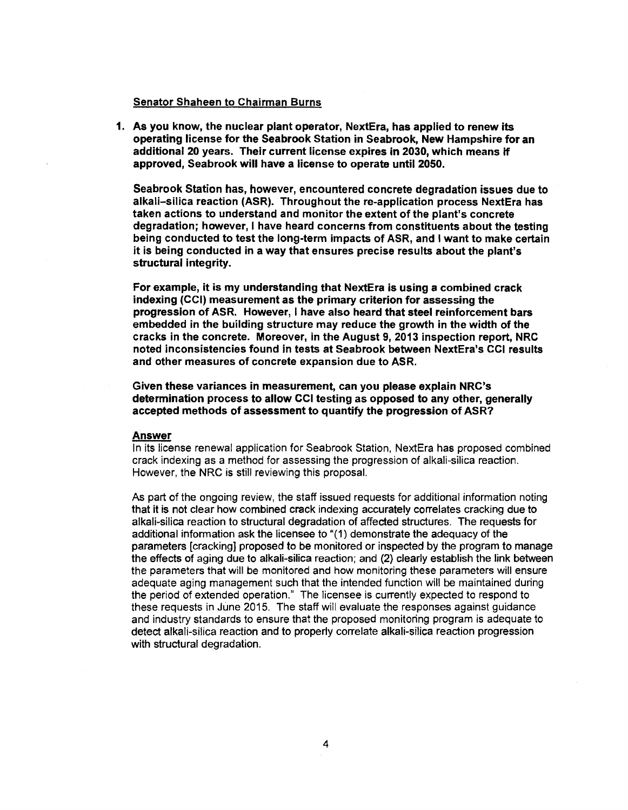# Senator **Shaheen** to Chairman Burns

1. As you know, the nuclear plant operator, NextEra, has applied to renew its operating license for the Seabrook Station in Seabrook, New Hampshire for an additional 20 years. Their current license expires in 2030, which means if approved, Seabrook will have a license to operate until 2050.

Seabrook Station has, however, encountered concrete degradation issues due to alkali-silica reaction (ASR). Throughout the re-application process NextEra has taken actions to understand and monitor the extent of the plant's concrete degradation; however, I have heard concerns from constituents about the testing being conducted to test the long-term Impacts of ASR, and I want to make certain it is being conducted in a way that ensures precise results about the plant's structural integrity.

For example, it is my understanding that NextEra is using a combined crack indexing (CCI) measurement as the primary criterion for assessing the progression of **ASR.** However, I have also heard that steel reinforcement bars embedded in the building structure may reduce the growth in the width of the cracks in the concrete. Moreover, in the August 9, 2013 inspection report, NRC noted inconsistencies found in tests at Seabrook between NextEra's CCI results and other measures of concrete expansion due to ASR.

Given these variances in measurement, can you please explain NRC's determination process to allow CCI testing as opposed to any other, generally accepted methods of assessment to quantify the progression of **ASR?** 

#### **Answer**

In its license renewal application for Seabrook Station, NextEra has proposed combined crack indexing as a method for assessing the progression of alkali-silica reaction. However, the NRC is still reviewing this proposal.

As part of the ongoing review, the staff issued requests for additional information noting that it is not clear how combined crack indexing accurately correlates cracking due to alkali-silica reaction to structural degradation of affected structures. The requests for additional information ask the licensee to "(1} demonstrate the adequacy of the parameters [cracking] proposed to be monitored or inspected by the program to manage the effects of aging due to alkali-silica reaction; and (2) clearly establish the link between the parameters that will be monitored and how monitoring these parameters will ensure adequate aging management such that the intended function will be maintained during the period of extended operation." The licensee is currently expected to respond to these requests in June 2015. The staff will evaluate the responses against guidance and industry standards to ensure that the proposed monitoring program is adequate to detect alkali-silica reaction and to properly correlate alkali-silica reaction progression with structural degradation.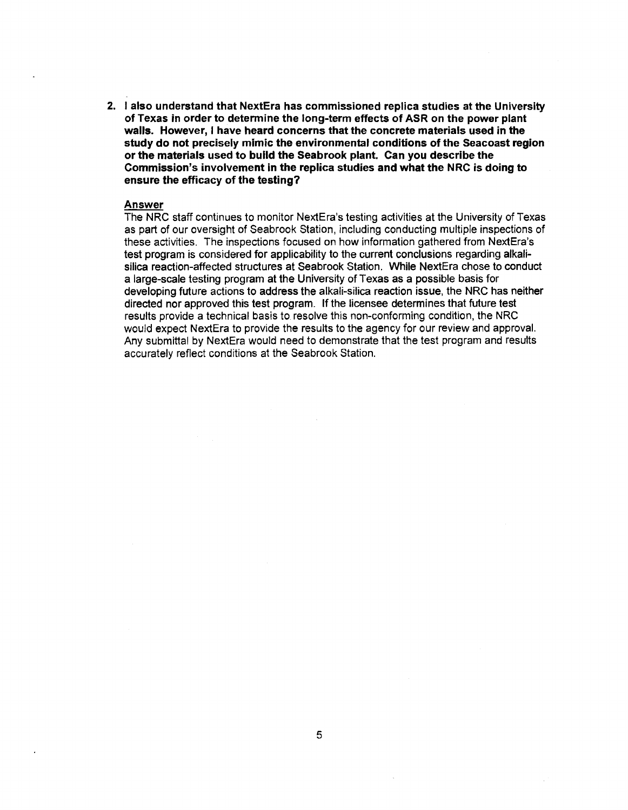2. I also understand that NextEra has commissioned replica studies at the University of Texas in order to determine the long-term effects of ASR on the **power** plant walls. However, I have heard concerns that the concrete materials **used** in the study do not precisely mimic the environmental conditions of the Seacoast region or the materials used to build the Seabrook plant. Can you describe the Commission's involvement in the replica studies and what the NRC is doing to ensure the efficacy of the testing?

# **Answer**

The NRC staff continues to monitor NextEra's testing activities at the University of Texas as part of our oversight of Seabrook Station, including conducting multiple inspections of these activities. The inspections focused on how Information gathered from NextEra's test program is considered for applicability to the current conclusions regarding alkalisilica reaction-affected structures at Seabrook Station. While NextEra chose to conduct a large-scale testing program at the University of Texas as a possible basis for developing future actions to address the alkali-silica reaction issue, the NRC has neither directed nor approved this test program. If the licensee determines that future test results provide a technical basis to resolve this non-conforming condition, the NRC would expect NextEra to provide the results to the agency for our **review** and approval. Any submittal by NextEra would need to demonstrate that the test program and results accurately reflect conditions at the Seabrook Station.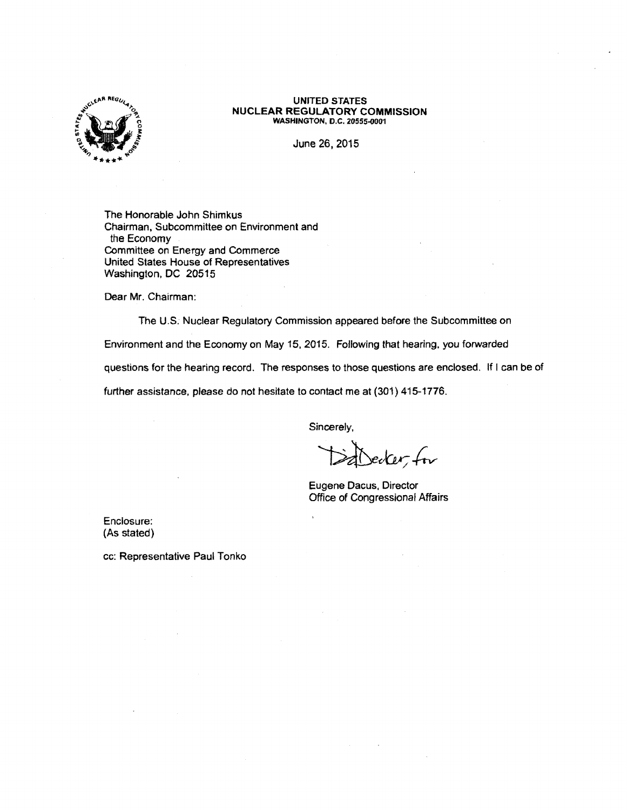

#### **UNITED STATES NUCLEAR REGULATORY COMMISSION WASHINGTON, D.C. 20555-0001**

June 26, 2015

The Honorable John Shimkus Chairman, Subcommittee on Environment and the Economy Committee on Energy and Commerce United States House of Representatives Washington, DC 20515

Dear Mr. Chairman:

The U.S. Nuclear Regulatory Commission appeared before the Subcommittee on

Environment and the Economy on May 15, 2015. Following that hearing, you forwarded

questions for the hearing record. The responses to those questions are enclosed. If I can be of

further assistance, please do not hesitate to contact me at (301) 415-1776.

Sincerely,

 $c$ er, for

Eugene Dacus, Director Office of Congressional Affairs

Enclosure: (As stated)

cc: Representative Paul Tonko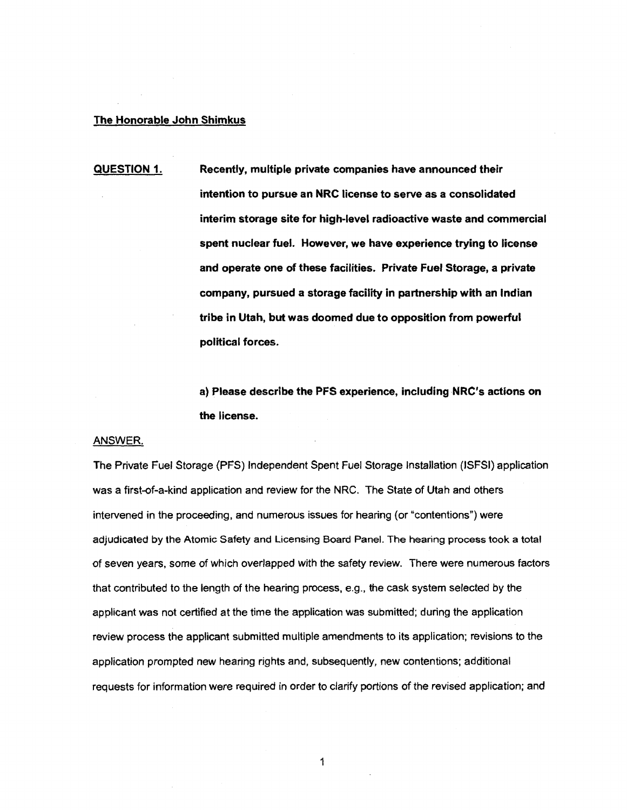#### **The Honorable John Shimkus**

**QUESTION 1. Recently, multiple private companies have announced their intention to pursue an NRC license to serve as a consolidated interim storage site for high-level radioactive waste and commercial spent nuclear fuel. However, we have experience trying to license and operate one of these facilities. Private Fuel Storage, a private company, pursued a storage facility in partnership with an Indian tribe in Utah, but was doomed due to opposition from powerful political forces.** 

> **a) Please describe the PFS experience, including NRC's actions on the license.**

#### ANSWER

The Private Fuel Storage (PFS) Independent Spent Fuel Storage Installation (ISFSI) application was a first-of-a-kind application and review for the NRC. The State of Utah and others intervened in the proceeding, and numerous issues for hearing (or "contentions") were adjudicated by the Atomic Safety and Licensing Board Panel. The hearing process took a total of seven years, some of which overlapped with the safety review. There were numerous factors that contributed to the length of the hearing process, e.g., the cask system selected by the applicant was not certified at the time the application was submitted; during the application review process the applicant submitted multiple amendments to its application; revisions to the application prompted new hearing rights and, subsequently, new contentions; additional requests for information were required in order to clarify portions of the revised application; and

1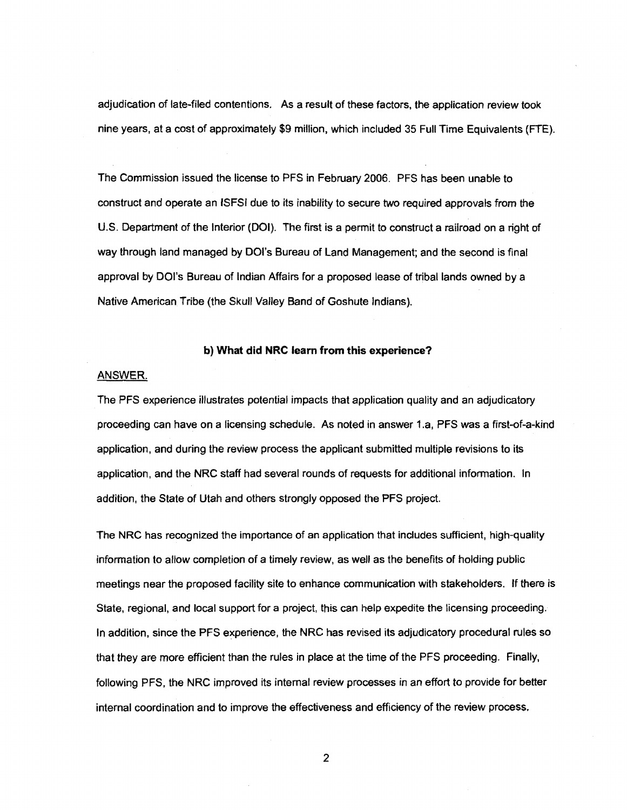adjudication of late-filed contentions. As a result of these factors, the application review took nine years, at a cost of approximately \$9 million, which included 35 Full Time Equivalents (FTE).

The Commission issued the license to PFS in February 2006. PFS has been unable to construct and operate an ISFSI due to its inability to secure two required approvals from the U.S. Department of the Interior (DOI). The first is a permit to construct a railroad on a right of way through land managed by DOl's Bureau of Land Management; and the second is final approval by DOl's Bureau of Indian Affairs for a proposed lease of tribal lands owned by a Native American Tribe (the Skull Valley Band of Goshute Indians).

#### **b) What did NRC learn from this experience?**

#### ANSWER.

The PFS experience illustrates potential impacts that application quality and an adjudicatory proceeding can have on a licensing schedule. As noted in answer 1.a, PFS was a first-of-a-kind application, and during the review process the applicant submitted multiple revisions to its application, and the NRC staff had several rounds of requests for additional information. In addition, the State of Utah and others strongly opposed the PFS project.

The NRC has recognized the importance of an application that includes sufficient, high-quality information to allow completion of a timely review, as well as the benefits of holding public meetings near the proposed facility site to enhance communication with stakeholders. If there is State, regional, and local support for a project, this can help expedite the licensing proceeding. In addition, since the PFS experience, the NRC has revised its adjudicatory procedural rules so that they are more efficient than the rules in place at the time of the PFS proceeding. Finally, following PFS, the NRC improved its internal review processes in an effort to provide for better internal coordination and to improve the effectiveness and efficiency of the review process.

2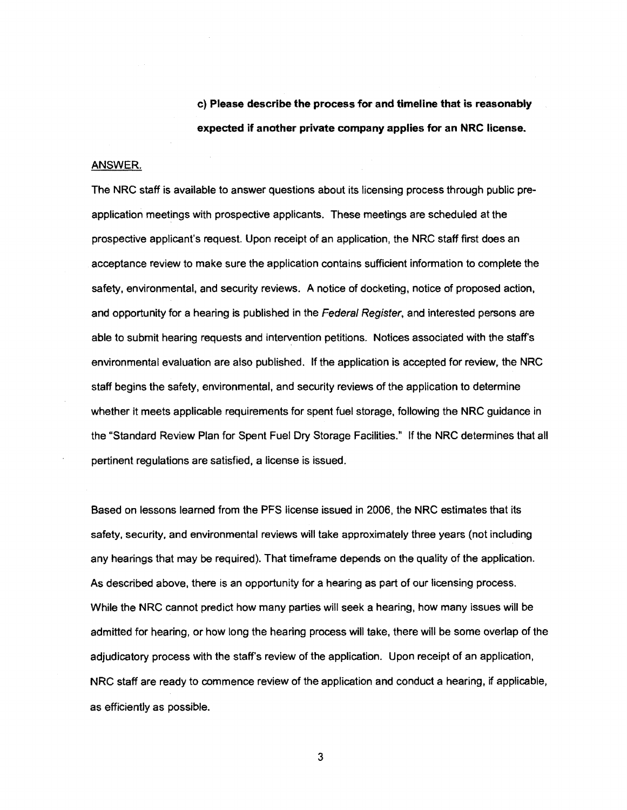c} **Please describe the process for and timeline that is reasonably expected if another private company applies for an NRC license.** 

#### ANSWER.

The NRC staff is available to answer questions about its licensing process through public preapplication meetings with prospective applicants. These meetings are scheduled at the prospective applicant's request. Upon receipt of an application, the NRC staff first does an acceptance review to make sure the application contains sufficient information to complete the safety, environmental, and security reviews. A notice of docketing, notice of proposed action, and opportunity for a hearing is published in the Federal Register, and interested persons are able to submit hearing requests and intervention petitions. Notices associated with the staff's environmental evaluation are also published. If the application is accepted for review, the NRC staff begins the safety, environmental, and security reviews of the application to determine whether it meets applicable requirements for spent fuel storage, following the NRC guidance in the "Standard Review Plan for Spent Fuel Dry Storage Facilities." If the NRC determines that all pertinent regulations are satisfied, a license is issued.

Based on lessons learned from the PFS license issued in 2006, the NRC estimates that its safety, security, and environmental reviews will take approximately three years (not including any hearings that may be required). That timeframe depends on the quality of the application. As described above, there is an opportunity for a hearing as part of our licensing process. While the NRC cannot predict how many parties will seek a hearing, how many issues will be admitted for hearing, or how long the hearing process will take, there will be some overlap of the adjudicatory process with the staff's review of the application. Upon receipt of an application, NRC staff are ready to commence review of the application and conduct a hearing, if applicable, as efficiently as possible.

3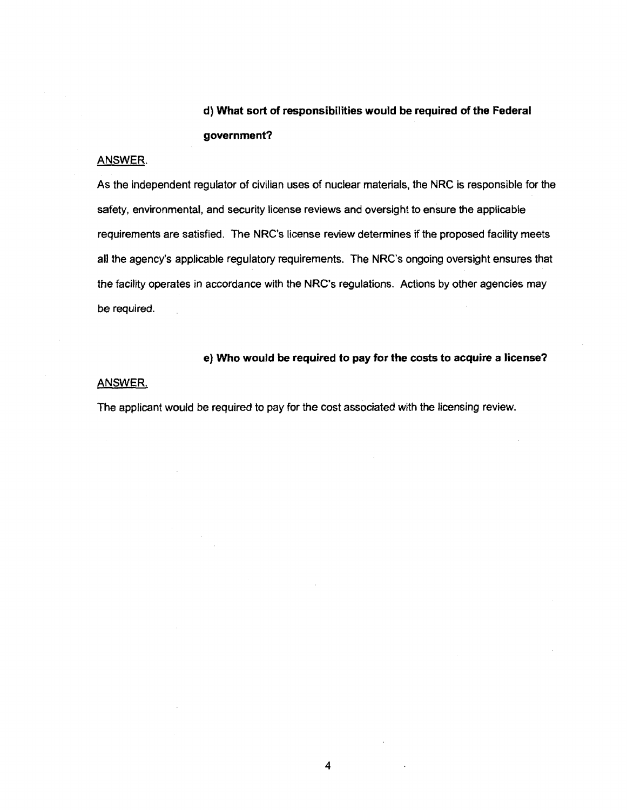# **d) What sort of responsibilities would be required of the Federal government?**

# ANSWER.

As the independent regulator of civilian uses of nuclear materials, the NRC is responsible for the safety, environmental, and security license reviews and oversight to ensure the applicable requirements are satisfied. The NRC's license review determines if the proposed facility meets all the agency's applicable regulatory requirements. The NRC's ongoing oversight ensures that the facility operates in accordance with the NRC's regulations. Actions by other agencies may be required.

**e) Who would be required to pay for the costs to acquire a license?** 

# ANSWER.

The applicant would be required to pay for the cost associated with the licensing review.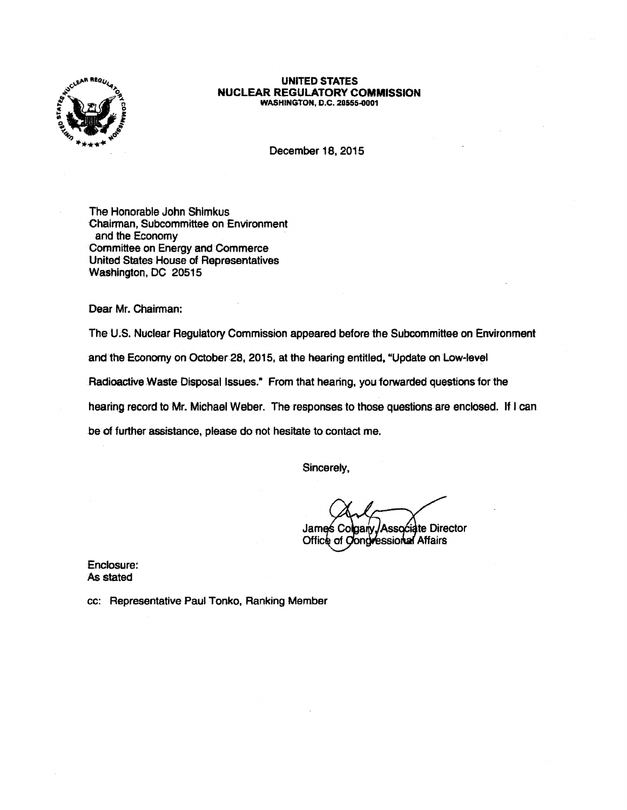

#### **UNITED STATES NUCLEAR REGULATORY COMMISSION WASHINGTON, D.C. 20555-0001**

December 18, 2015

The Honorable John Shimkus Chairman, Subcommittee on Environment and the Economy Committee on Energy and Commerce United States House of Representatives Washington, DC 20515

Dear Mr. Chairman:

The U.S. Nuclear Regulatory Commission appeared before the Subcommittee on Environment

and the Economy on October 28, 2015, at the hearing entitled, "Update on Low-level

Radioactive Waste Disposal Issues." From that hearing, you forwarded questions for the

hearing record to Mr. Michael Weber. The responses to those questions are enclosed. If I can

be of further assistance, please do not hesitate to contact me.

Sincerely,

Associate Director James Co aarv ongressional Affairs Office of C

Enclosure: 'As stated

cc: Representative Paul Tonko, Ranking Member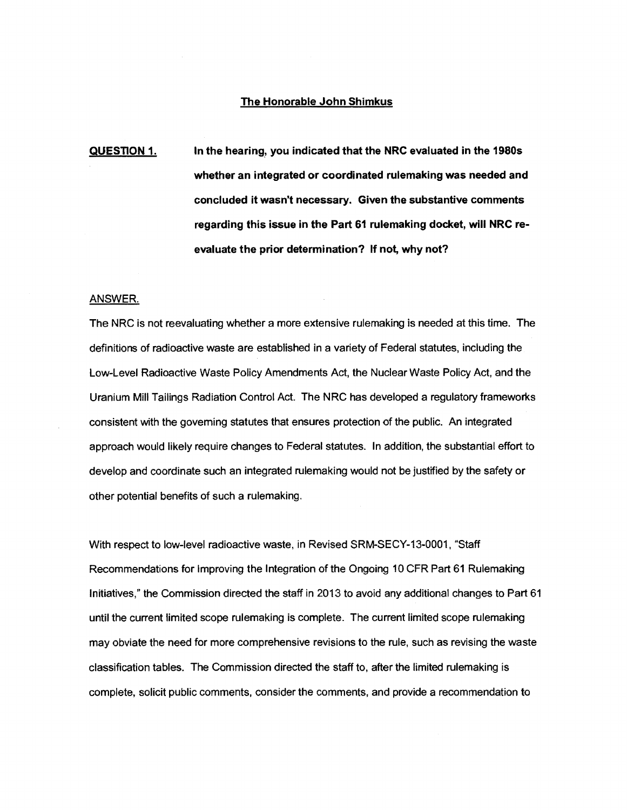#### **The Honorable John Shimkus**

**QUESTION 1. In the hearing, you indicated that the NRC evaluated in the 1980s whether an integrated or coordinated rulemaking was needed and concluded it wasn't necessary. Given the substantive comments regarding this issue in the Part 61 rulemaking docket, will NRC reevaluate the prior determination? If not, why not?** 

#### ANSWER.

The NRC is not reevaluating whether a more extensive rulemaking is needed at this time. The definitions of radioactive waste are established in a variety of Federal statutes, including the Low-Level Radioactive Waste Policy Amendments Act, the Nuclear Waste Policy Act, and the Uranium Mill Tailings Radiation Control Act. The NRC has developed a regulatory frameworks consistent with the governing statutes that ensures protection of the public. An integrated approach would likely require changes to Federal statutes. In addition, the substantial effort to develop and coordinate such an integrated rulemaking would not be justified by the safety or other potential benefits of such a rulemaking.

With respect to low-level radioactive waste, in Revised SRM-SECY-13-0001, "Staff Recommendations for Improving the Integration of the Ongoing 10 CFR Part 61 Rulemaking Initiatives," the Commission directed the staff in 2013 to avoid any additional changes to Part 61 until the current limited scope rulemaking is complete. The current limited scope rulemaking may obviate the need for more comprehensive revisions to the rule, such as revising the waste classification tables. The Commission directed the staff to, after the limited rulemaking is complete, solicit public comments, consider the comments, and provide a recommendation to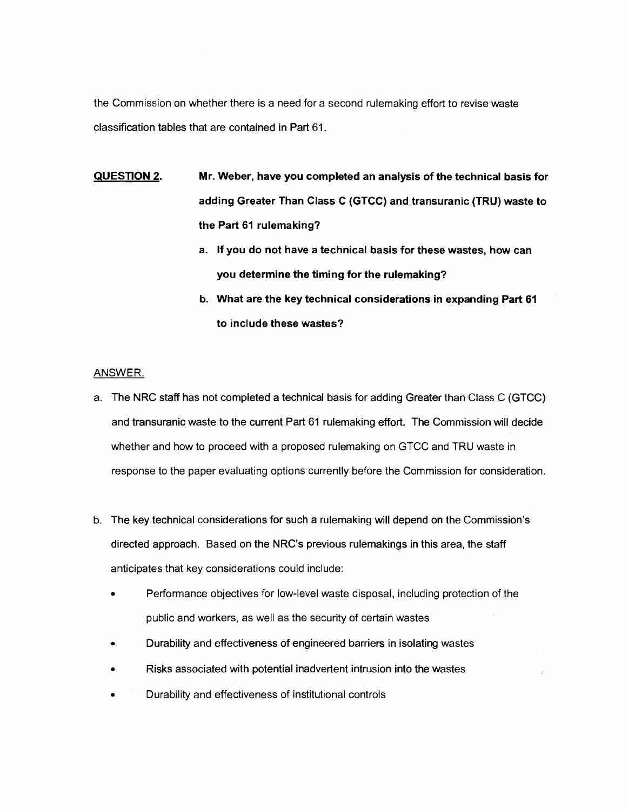the Commission on whether there is a need for a second rulemaking effort to revise waste classification tables that are contained in Part 61.

- QUESTION 2. Mr. Weber, have you completed an analysis of the technical basis for **adding** Greater Than Class C (GTCC) and transuranic (TRU) waste to **the Part 61** rulemaking?
	- a. If you do not have a technical basis for these **wastes,** how can **you determine the timing for the rulemaking?**
	- **b. What are the key technical considerations** in **expanding Part 61 to include these wastes?**

# **ANSWER.**

- a. The NRC staff has not completed a technical basis for adding Greater than Class C (GTCC) and transuranic waste to the current Part 61 rulemaking effort. The Commission will decide whether and how to proceed with a proposed rulemaking on GTCC and TRU waste in response to the paper evaluating options currently before the Commission for consideration.
- b. The key technical considerations for such a rulemaking will depend on the Commission's directed approach. Based on the NRC's previous rulemakings in this area, the staff anticipates that key considerations could include:
	- Performance objectives for low-level waste disposal, including protection of the public and workers, as well as the security of certain wastes
	- Durability and effectiveness of engineered barriers in isolating wastes
	- Risks associated with potential inadvertent intrusion into the wastes
	- Durability and effectiveness of institutional controls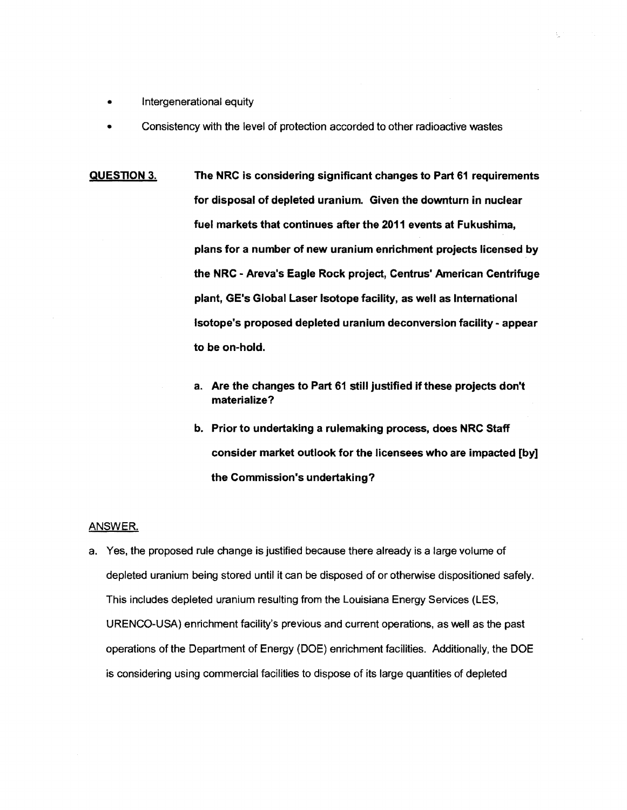- Intergenerational equity
- Consistency with the level of protection accorded to other radioactive wastes
- **QUESTION 3. The NRC is considering significant changes to Part 61 requirements for disposal of depleted uranium. Given the downturn in nuclear fuel markets that continues after the 2011 events at Fukushima, plans for a number of new uranium enrichment projects licensed by the NRC** - **Areva's Eagle Rock project, Centrus' American Centrifuge plant, GE's Global Laser Isotope facility, as well as International Isotope's proposed depleted uranium deconversion facility** - **appear to be on-hold.** 
	- **a. Are the changes to Part 61 still justified if these projects don't materialize?**
	- **b. Prior to undertaking a rulemaking process, does NRC Staff consider market outlook for the licensees who are impacted [by] the Commission's undertaking?**

# ANSWER.

a. Yes, the proposed rule change is justified because there already is a large volume of depleted uranium being stored until it can be disposed of or otherwise dispositioned safely. This includes depleted uranium resulting from the Louisiana Energy Services {LES, URENCO-USA) enrichment facility's previous and current operations, as well as the past operations of the Department of Energy (DOE) enrichment facilities. Additionally, the DOE is considering using commercial facilities to dispose of its large quantities of depleted